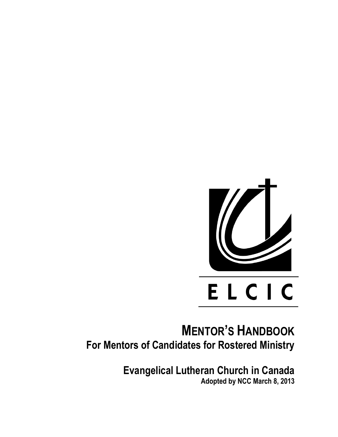

# **MENTOR'S HANDBOOK For Mentors of Candidates for Rostered Ministry**

**Evangelical Lutheran Church in Canada Adopted by NCC March 8, 2013**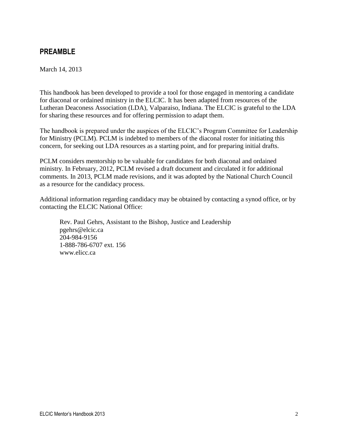# **PREAMBLE**

March 14, 2013

This handbook has been developed to provide a tool for those engaged in mentoring a candidate for diaconal or ordained ministry in the ELCIC. It has been adapted from resources of the Lutheran Deaconess Association (LDA), Valparaiso, Indiana. The ELCIC is grateful to the LDA for sharing these resources and for offering permission to adapt them.

The handbook is prepared under the auspices of the ELCIC's Program Committee for Leadership for Ministry (PCLM). PCLM is indebted to members of the diaconal roster for initiating this concern, for seeking out LDA resources as a starting point, and for preparing initial drafts.

PCLM considers mentorship to be valuable for candidates for both diaconal and ordained ministry. In February, 2012, PCLM revised a draft document and circulated it for additional comments. In 2013, PCLM made revisions, and it was adopted by the National Church Council as a resource for the candidacy process.

Additional information regarding candidacy may be obtained by contacting a synod office, or by contacting the ELCIC National Office:

Rev. Paul Gehrs, Assistant to the Bishop, Justice and Leadership pgehrs@elcic.ca 204-984-9156 1-888-786-6707 ext. 156 www.elicc.ca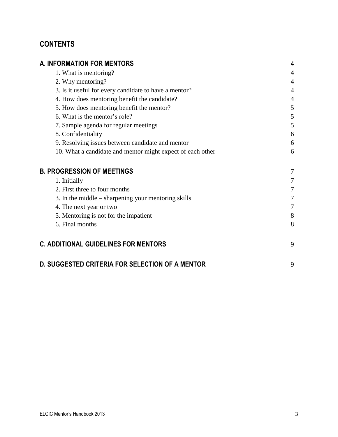# **CONTENTS**

| <b>A. INFORMATION FOR MENTORS</b>                          | 4              |
|------------------------------------------------------------|----------------|
| 1. What is mentoring?                                      | 4              |
| 2. Why mentoring?                                          | $\overline{4}$ |
| 3. Is it useful for every candidate to have a mentor?      | 4              |
| 4. How does mentoring benefit the candidate?               | 4              |
| 5. How does mentoring benefit the mentor?                  | 5              |
| 6. What is the mentor's role?                              | 5              |
| 7. Sample agenda for regular meetings                      | 5              |
| 8. Confidentiality                                         | 6              |
| 9. Resolving issues between candidate and mentor           | 6              |
| 10. What a candidate and mentor might expect of each other | 6              |
| <b>B. PROGRESSION OF MEETINGS</b>                          | 7              |
| 1. Initially                                               | 7              |
| 2. First three to four months                              | 7              |
| 3. In the middle – sharpening your mentoring skills        | 7              |
| 4. The next year or two                                    | 7              |
| 5. Mentoring is not for the impatient                      | 8              |
| 6. Final months                                            | 8              |
| <b>C. ADDITIONAL GUIDELINES FOR MENTORS</b>                | 9              |
| <b>D. SUGGESTED CRITERIA FOR SELECTION OF A MENTOR</b>     | 9              |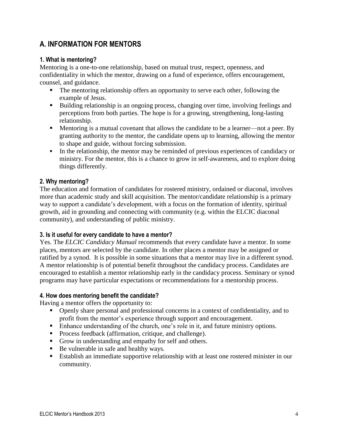# **A. INFORMATION FOR MENTORS**

### **1. What is mentoring?**

Mentoring is a one-to-one relationship, based on mutual trust, respect, openness, and confidentiality in which the mentor, drawing on a fund of experience, offers encouragement, counsel, and guidance.

- The mentoring relationship offers an opportunity to serve each other, following the example of Jesus.
- Building relationship is an ongoing process, changing over time, involving feelings and perceptions from both parties. The hope is for a growing, strengthening, long-lasting relationship.
- Mentoring is a mutual covenant that allows the candidate to be a learner—not a peer. By granting authority to the mentor, the candidate opens up to learning, allowing the mentor to shape and guide, without forcing submission.
- In the relationship, the mentor may be reminded of previous experiences of candidacy or ministry. For the mentor, this is a chance to grow in self-awareness, and to explore doing things differently.

#### **2. Why mentoring?**

The education and formation of candidates for rostered ministry, ordained or diaconal, involves more than academic study and skill acquisition. The mentor/candidate relationship is a primary way to support a candidate's development, with a focus on the formation of identity, spiritual growth, aid in grounding and connecting with community (e.g. within the ELCIC diaconal community), and understanding of public ministry.

#### **3. Is it useful for every candidate to have a mentor?**

Yes. The *ELCIC Candidacy Manual* recommends that every candidate have a mentor. In some places, mentors are selected by the candidate. In other places a mentor may be assigned or ratified by a synod. It is possible in some situations that a mentor may live in a different synod. A mentor relationship is of potential benefit throughout the candidacy process. Candidates are encouraged to establish a mentor relationship early in the candidacy process. Seminary or synod programs may have particular expectations or recommendations for a mentorship process.

#### **4. How does mentoring benefit the candidate?**

Having a mentor offers the opportunity to:

- Openly share personal and professional concerns in a context of confidentiality, and to profit from the mentor's experience through support and encouragement.
- Enhance understanding of the church, one's role in it, and future ministry options.
- **Process feedback (affirmation, critique, and challenge).**
- Grow in understanding and empathy for self and others.
- Be vulnerable in safe and healthy ways.
- Establish an immediate supportive relationship with at least one rostered minister in our community.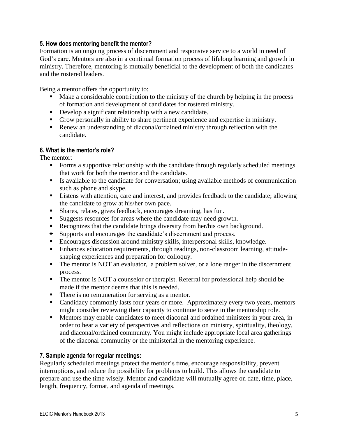### **5. How does mentoring benefit the mentor?**

Formation is an ongoing process of discernment and responsive service to a world in need of God's care. Mentors are also in a continual formation process of lifelong learning and growth in ministry. Therefore, mentoring is mutually beneficial to the development of both the candidates and the rostered leaders.

Being a mentor offers the opportunity to:

- Make a considerable contribution to the ministry of the church by helping in the process of formation and development of candidates for rostered ministry.
- Develop a significant relationship with a new candidate.
- Grow personally in ability to share pertinent experience and expertise in ministry.
- Renew an understanding of diaconal/ordained ministry through reflection with the candidate.

### **6. What is the mentor's role?**

The mentor:

- Forms a supportive relationship with the candidate through regularly scheduled meetings that work for both the mentor and the candidate.
- Is available to the candidate for conversation; using available methods of communication such as phone and skype.
- **EXECUTE:** Listens with attention, care and interest, and provides feedback to the candidate; allowing the candidate to grow at his/her own pace.
- Shares, relates, gives feedback, encourages dreaming, has fun.
- Suggests resources for areas where the candidate may need growth.
- Recognizes that the candidate brings diversity from her/his own background.
- **EXECUTE:** Supports and encourages the candidate's discernment and process.
- Encourages discussion around ministry skills, interpersonal skills, knowledge.
- Enhances education requirements, through readings, non-classroom learning, attitudeshaping experiences and preparation for colloquy.
- The mentor is NOT an evaluator, a problem solver, or a lone ranger in the discernment process.
- The mentor is NOT a counselor or therapist. Referral for professional help should be made if the mentor deems that this is needed.
- There is no remuneration for serving as a mentor.
- Candidacy commonly lasts four years or more. Approximately every two years, mentors might consider reviewing their capacity to continue to serve in the mentorship role.
- **Mentors may enable candidates to meet diaconal and ordained ministers in your area, in** order to hear a variety of perspectives and reflections on ministry, spirituality, theology, and diaconal/ordained community. You might include appropriate local area gatherings of the diaconal community or the ministerial in the mentoring experience.

### **7. Sample agenda for regular meetings:**

Regularly scheduled meetings protect the mentor's time, encourage responsibility, prevent interruptions, and reduce the possibility for problems to build. This allows the candidate to prepare and use the time wisely. Mentor and candidate will mutually agree on date, time, place, length, frequency, format, and agenda of meetings.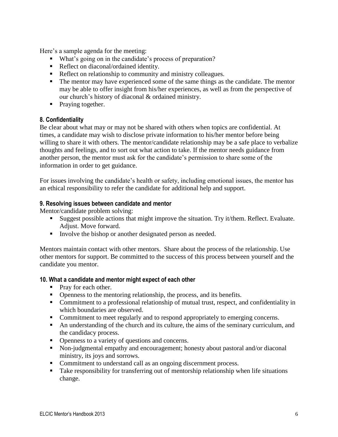Here's a sample agenda for the meeting:

- What's going on in the candidate's process of preparation?
- Reflect on diaconal/ordained identity.
- Reflect on relationship to community and ministry colleagues.
- The mentor may have experienced some of the same things as the candidate. The mentor may be able to offer insight from his/her experiences, as well as from the perspective of our church's history of diaconal & ordained ministry.
- Praying together.

### **8. Confidentiality**

Be clear about what may or may not be shared with others when topics are confidential. At times, a candidate may wish to disclose private information to his/her mentor before being willing to share it with others. The mentor/candidate relationship may be a safe place to verbalize thoughts and feelings, and to sort out what action to take. If the mentor needs guidance from another person, the mentor must ask for the candidate's permission to share some of the information in order to get guidance.

For issues involving the candidate's health or safety, including emotional issues, the mentor has an ethical responsibility to refer the candidate for additional help and support.

#### **9. Resolving issues between candidate and mentor**

Mentor/candidate problem solving:

- Suggest possible actions that might improve the situation. Try it/them. Reflect. Evaluate. Adjust. Move forward.
- Involve the bishop or another designated person as needed.

Mentors maintain contact with other mentors. Share about the process of the relationship. Use other mentors for support. Be committed to the success of this process between yourself and the candidate you mentor.

#### **10. What a candidate and mentor might expect of each other**

- Pray for each other.
- Openness to the mentoring relationship, the process, and its benefits.
- Commitment to a professional relationship of mutual trust, respect, and confidentiality in which boundaries are observed.
- Commitment to meet regularly and to respond appropriately to emerging concerns.
- An understanding of the church and its culture, the aims of the seminary curriculum, and the candidacy process.
- Openness to a variety of questions and concerns.
- Non-judgmental empathy and encouragement; honesty about pastoral and/or diaconal ministry, its joys and sorrows.
- Commitment to understand call as an ongoing discernment process.
- Take responsibility for transferring out of mentorship relationship when life situations change.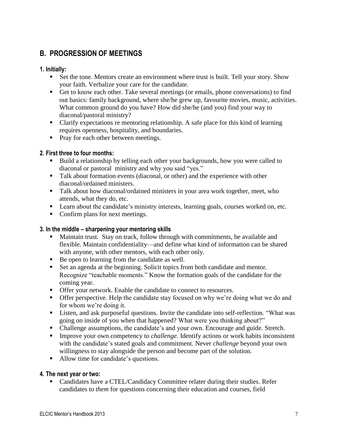# **B. PROGRESSION OF MEETINGS**

# **1. Initially:**

- Set the tone. Mentors create an environment where trust is built. Tell your story. Show your faith. Verbalize your care for the candidate.
- Get to know each other. Take several meetings (or emails, phone conversations) to find out basics: family background, where she/he grew up, favourite movies, music, activities. What common ground do you have? How did she/he (and you) find your way to diaconal/pastoral ministry?
- Clarify expectations re mentoring relationship. A safe place for this kind of learning requires openness, hospitality, and boundaries.
- Pray for each other between meetings.

# **2. First three to four months:**

- Build a relationship by telling each other your backgrounds, how you were called to diaconal or pastoral ministry and why you said "yes."
- Talk about formation events (diaconal, or other) and the experience with other diaconal/ordained ministers.
- **Talk about how diaconal/ordained ministers in your area work together, meet, who** attends, what they do, etc.
- **Learn about the candidate's ministry interests, learning goals, courses worked on, etc.**
- Confirm plans for next meetings.

# **3. In the middle – sharpening your mentoring skills**

- Maintain trust. Stay on track, follow through with commitments, be available and flexible. Maintain confidentiality—and define what kind of information can be shared with anyone, with other mentors, with each other only.
- Be open to learning from the candidate as well.
- Set an agenda at the beginning. Solicit topics from both candidate and mentor. Recognize "teachable moments." Know the formation goals of the candidate for the coming year.
- Offer your network. Enable the candidate to connect to resources.
- Offer perspective. Help the candidate stay focused on why we're doing what we do and for whom we're doing it.
- Listen, and ask purposeful questions. Invite the candidate into self-reflection. "What was going on inside of you when that happened? What were you thinking about?"
- Challenge assumptions, the candidate's and your own. Encourage and guide. Stretch.
- **Improve your own competency to** *challenge*. Identify actions or work habits inconsistent with the candidate's stated goals and commitment. Never *challenge* beyond your own willingness to stay alongside the person and become part of the solution.
- Allow time for candidate's questions.

### **4. The next year or two:**

■ Candidates have a CTEL/Candidacy Committee relater during their studies. Refer candidates to *them* for questions concerning their education and courses, field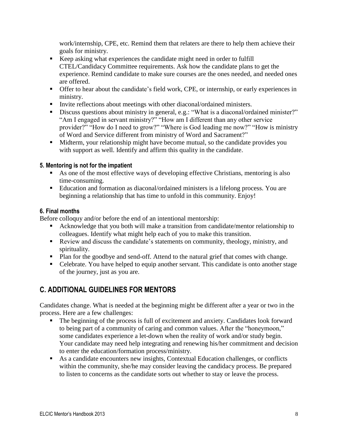work/internship, CPE, etc. Remind them that relaters are there to help them achieve their goals for ministry.

- Keep asking what experiences the candidate might need in order to fulfill CTEL/Candidacy Committee requirements. Ask how the candidate plans to get the experience. Remind candidate to make sure courses are the ones needed, and needed ones are offered.
- Offer to hear about the candidate's field work, CPE, or internship, or early experiences in ministry.
- Invite reflections about meetings with other diaconal/ordained ministers.
- Discuss questions about ministry in general, e.g.: "What is a diaconal/ordained minister?" "Am I engaged in servant ministry?" "How am I different than any other service provider?" "How do I need to grow?" "Where is God leading me now?" "How is ministry of Word and Service different from ministry of Word and Sacrament?"
- Midterm, your relationship might have become mutual, so the candidate provides you with support as well. Identify and affirm this quality in the candidate.

# **5. Mentoring is not for the impatient**

- As one of the most effective ways of developing effective Christians, mentoring is also time-consuming.
- Education and formation as diaconal/ordained ministers is a lifelong process. You are beginning a relationship that has time to unfold in this community. Enjoy!

### **6. Final months**

Before colloquy and/or before the end of an intentional mentorship:

- Acknowledge that you both will make a transition from candidate/mentor relationship to colleagues. Identify what might help each of you to make this transition.
- Review and discuss the candidate's statements on community, theology, ministry, and spirituality.
- Plan for the goodbye and send-off. Attend to the natural grief that comes with change.
- Celebrate. You have helped to equip another servant. This candidate is onto another stage of the journey, just as you are.

# **C. ADDITIONAL GUIDELINES FOR MENTORS**

Candidates change. What is needed at the beginning might be different after a year or two in the process. Here are a few challenges:

- The beginning of the process is full of excitement and anxiety. Candidates look forward to being part of a community of caring and common values. After the "honeymoon," some candidates experience a let-down when the reality of work and/or study begin. Your candidate may need help integrating and renewing his/her commitment and decision to enter the education/formation process/ministry.
- As a candidate encounters new insights, Contextual Education challenges, or conflicts within the community, she/he may consider leaving the candidacy process. Be prepared to listen to concerns as the candidate sorts out whether to stay or leave the process.